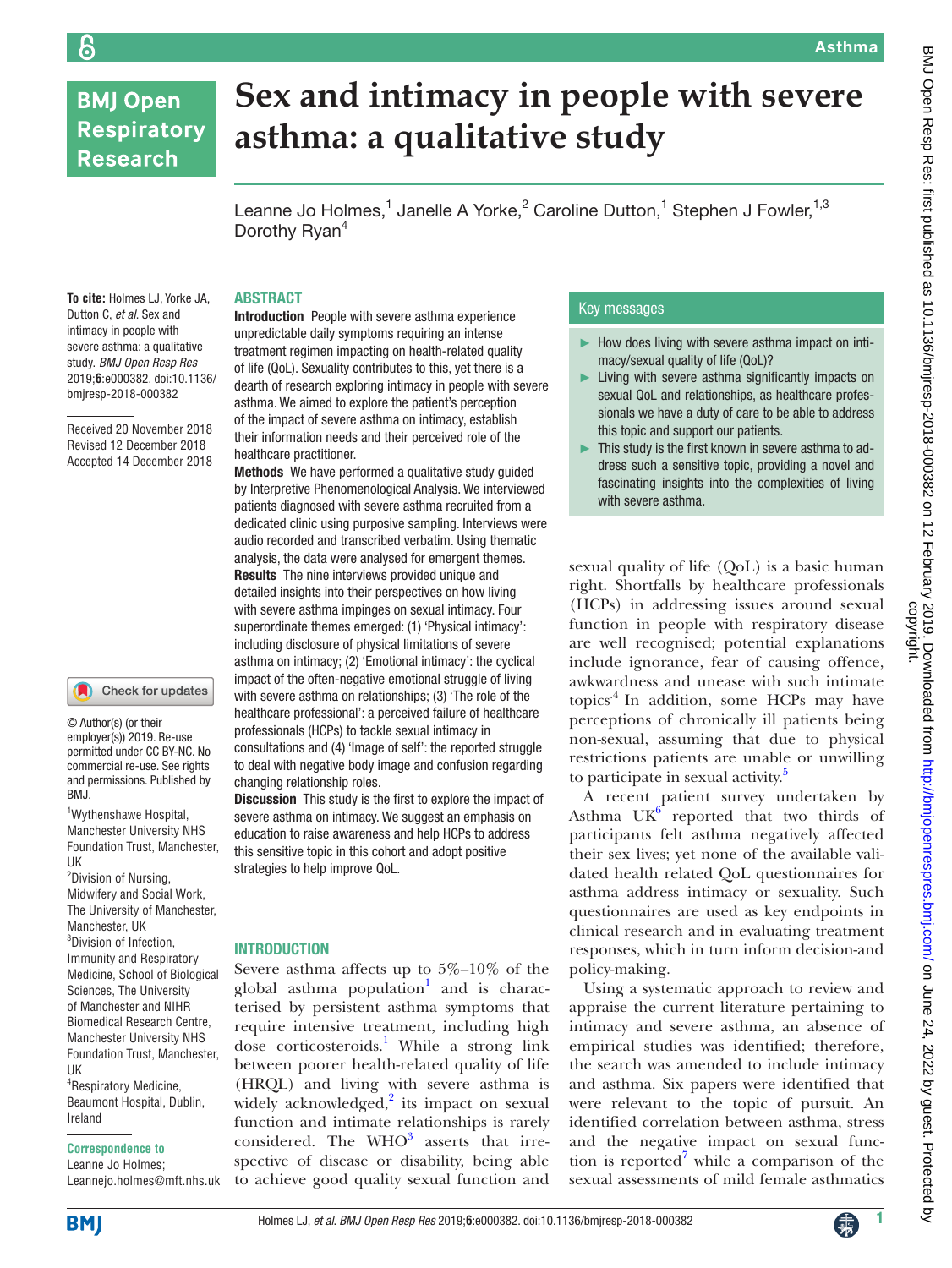# **BMJ Open Respiratory Research**

# **Sex and intimacy in people with severe asthma: a qualitative study**

Leanne Jo Holmes,<sup>1</sup> Janelle A Yorke,<sup>2</sup> Caroline Dutton,<sup>1</sup> Stephen J Fowler,<sup>1,3</sup> Dorothy Ryan<sup>4</sup>

## **ABSTRACT**

**To cite:** Holmes LJ, Yorke JA, Dutton C, *et al*. Sex and intimacy in people with severe asthma: a qualitative study. *BMJ Open Resp Res* 2019;**6**:e000382. doi:10.1136/ bmjresp-2018-000382

Received 20 November 2018 Revised 12 December 2018 Accepted 14 December 2018

#### Check for updates

© Author(s) (or their employer(s)) 2019. Re-use permitted under CC BY-NC. No commercial re-use. See rights and permissions. Published by BMJ.

1 Wythenshawe Hospital, Manchester University NHS Foundation Trust, Manchester, UK

<sup>2</sup>Division of Nursing, Midwifery and Social Work, The University of Manchester, Manchester, UK 3 Division of Infection, Immunity and Respiratory Medicine, School of Biological Sciences, The University of Manchester and NIHR Biomedical Research Centre, Manchester University NHS Foundation Trust, Manchester, UK

4 Respiratory Medicine, Beaumont Hospital, Dublin, Ireland

#### **Correspondence to**

Leanne Jo Holmes; Leannejo.holmes@mft.nhs.uk Introduction People with severe asthma experience unpredictable daily symptoms requiring an intense treatment regimen impacting on health-related quality of life (QoL). Sexuality contributes to this, yet there is a dearth of research exploring intimacy in people with severe asthma. We aimed to explore the patient's perception of the impact of severe asthma on intimacy, establish their information needs and their perceived role of the healthcare practitioner.

Methods We have performed a qualitative study guided by Interpretive Phenomenological Analysis. We interviewed patients diagnosed with severe asthma recruited from a dedicated clinic using purposive sampling. Interviews were audio recorded and transcribed verbatim. Using thematic analysis, the data were analysed for emergent themes. Results The nine interviews provided unique and detailed insights into their perspectives on how living with severe asthma impinges on sexual intimacy. Four superordinate themes emerged: (1) 'Physical intimacy': including disclosure of physical limitations of severe asthma on intimacy; (2) 'Emotional intimacy': the cyclical impact of the often-negative emotional struggle of living with severe asthma on relationships; (3) 'The role of the healthcare professional': a perceived failure of healthcare professionals (HCPs) to tackle sexual intimacy in consultations and (4) 'Image of self': the reported struggle to deal with negative body image and confusion regarding changing relationship roles.

Discussion This study is the first to explore the impact of severe asthma on intimacy. We suggest an emphasis on education to raise awareness and help HCPs to address this sensitive topic in this cohort and adopt positive strategies to help improve QoL.

#### **INTRODUCTION**

Severe asthma affects up to 5%–10% of the global asthma population<sup>1</sup> and is characterised by persistent asthma symptoms that require intensive treatment, including high dose corticosteroids.<sup>[1](#page-6-0)</sup> While a strong link between poorer health-related quality of life (HRQL) and living with severe asthma is widely acknowledged, $2$  its impact on sexual function and intimate relationships is rarely considered. The  $WHO<sup>3</sup>$  $WHO<sup>3</sup>$  $WHO<sup>3</sup>$  asserts that irrespective of disease or disability, being able to achieve good quality sexual function and

#### Key messages

- ► How does living with severe asthma impact on intimacy/sexual quality of life (QoL)?
- ► Living with severe asthma significantly impacts on sexual QoL and relationships, as healthcare professionals we have a duty of care to be able to address this topic and support our patients.
- ► This study is the first known in severe asthma to address such a sensitive topic, providing a novel and fascinating insights into the complexities of living with severe asthma.

sexual quality of life (QoL) is a basic human right. Shortfalls by healthcare professionals (HCPs) in addressing issues around sexual function in people with respiratory disease are well recognised; potential explanations include ignorance, fear of causing offence, awkwardness and unease with such intimate topics.[4](#page-6-3) In addition, some HCPs may have perceptions of chronically ill patients being non-sexual, assuming that due to physical restrictions patients are unable or unwilling to participate in sexual activity.<sup>[5](#page-6-4)</sup>

A recent patient survey undertaken by Asthma  $UK^6$  reported that two thirds of participants felt asthma negatively affected their sex lives; yet none of the available validated health related QoL questionnaires for asthma address intimacy or sexuality. Such questionnaires are used as key endpoints in clinical research and in evaluating treatment responses, which in turn inform decision-and policy-making.

Using a systematic approach to review and appraise the current literature pertaining to intimacy and severe asthma, an absence of empirical studies was identified; therefore, the search was amended to include intimacy and asthma. Six papers were identified that were relevant to the topic of pursuit. An identified correlation between asthma, stress and the negative impact on sexual func-tion is reported<sup>[7](#page-6-6)</sup> while a comparison of the sexual assessments of mild female asthmatics

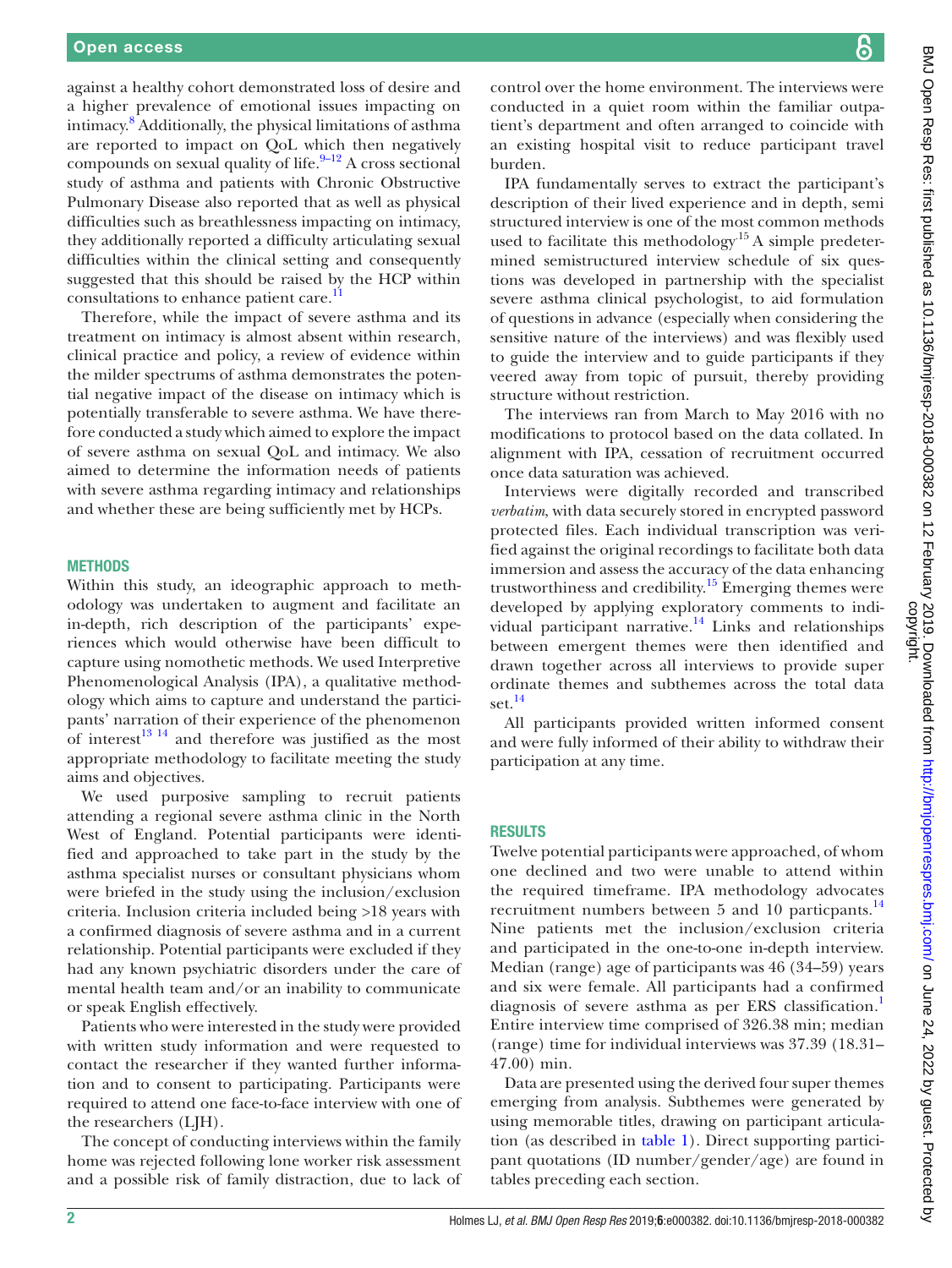against a healthy cohort demonstrated loss of desire and a higher prevalence of emotional issues impacting on intimacy.[8](#page-6-7) Additionally, the physical limitations of asthma are reported to impact on QoL which then negatively compounds on sexual quality of life. $9-12$  A cross sectional study of asthma and patients with Chronic Obstructive Pulmonary Disease also reported that as well as physical difficulties such as breathlessness impacting on intimacy, they additionally reported a difficulty articulating sexual difficulties within the clinical setting and consequently suggested that this should be raised by the HCP within consultations to enhance patient care.<sup>[11](#page-6-9)</sup>

Therefore, while the impact of severe asthma and its treatment on intimacy is almost absent within research, clinical practice and policy, a review of evidence within the milder spectrums of asthma demonstrates the potential negative impact of the disease on intimacy which is potentially transferable to severe asthma. We have therefore conducted a study which aimed to explore the impact of severe asthma on sexual QoL and intimacy. We also aimed to determine the information needs of patients with severe asthma regarding intimacy and relationships and whether these are being sufficiently met by HCPs.

#### **METHODS**

Within this study, an ideographic approach to methodology was undertaken to augment and facilitate an in-depth, rich description of the participants' experiences which would otherwise have been difficult to capture using nomothetic methods. We used Interpretive Phenomenological Analysis (IPA), a qualitative methodology which aims to capture and understand the participants' narration of their experience of the phenomenon of interest $13^{14}$  and therefore was justified as the most appropriate methodology to facilitate meeting the study aims and objectives.

We used purposive sampling to recruit patients attending a regional severe asthma clinic in the North West of England. Potential participants were identified and approached to take part in the study by the asthma specialist nurses or consultant physicians whom were briefed in the study using the inclusion/exclusion criteria. Inclusion criteria included being >18 years with a confirmed diagnosis of severe asthma and in a current relationship. Potential participants were excluded if they had any known psychiatric disorders under the care of mental health team and/or an inability to communicate or speak English effectively.

Patients who were interested in the study were provided with written study information and were requested to contact the researcher if they wanted further information and to consent to participating. Participants were required to attend one face-to-face interview with one of the researchers (LJH).

The concept of conducting interviews within the family home was rejected following lone worker risk assessment and a possible risk of family distraction, due to lack of control over the home environment. The interviews were conducted in a quiet room within the familiar outpatient's department and often arranged to coincide with an existing hospital visit to reduce participant travel burden.

IPA fundamentally serves to extract the participant's description of their lived experience and in depth, semi structured interview is one of the most common methods used to facilitate this methodology<sup>15</sup> A simple predetermined semistructured interview schedule of six questions was developed in partnership with the specialist severe asthma clinical psychologist, to aid formulation of questions in advance (especially when considering the sensitive nature of the interviews) and was flexibly used to guide the interview and to guide participants if they veered away from topic of pursuit, thereby providing structure without restriction.

The interviews ran from March to May 2016 with no modifications to protocol based on the data collated. In alignment with IPA, cessation of recruitment occurred once data saturation was achieved.

Interviews were digitally recorded and transcribed *verbatim*, with data securely stored in encrypted password protected files. Each individual transcription was verified against the original recordings to facilitate both data immersion and assess the accuracy of the data enhancing trustworthiness and credibility.<sup>[15](#page-6-11)</sup> Emerging themes were developed by applying exploratory comments to individual participant narrative. $14$  Links and relationships between emergent themes were then identified and drawn together across all interviews to provide super ordinate themes and subthemes across the total data set. $^{14}$  $^{14}$  $^{14}$ 

All participants provided written informed consent and were fully informed of their ability to withdraw their participation at any time.

#### **RESULTS**

Twelve potential participants were approached, of whom one declined and two were unable to attend within the required timeframe. IPA methodology advocates recruitment numbers between 5 and 10 particpants.<sup>[14](#page-6-12)</sup> Nine patients met the inclusion/exclusion criteria and participated in the one-to-one in-depth interview. Median (range) age of participants was 46 (34–59) years and six were female. All participants had a confirmed diagnosis of severe asthma as per ERS classification.<sup>[1](#page-6-0)</sup> Entire interview time comprised of 326.38 min; median (range) time for individual interviews was 37.39 (18.31– 47.00) min.

Data are presented using the derived four super themes emerging from analysis. Subthemes were generated by using memorable titles, drawing on participant articulation (as described in [table](#page-2-0) 1). Direct supporting participant quotations (ID number/gender/age) are found in tables preceding each section.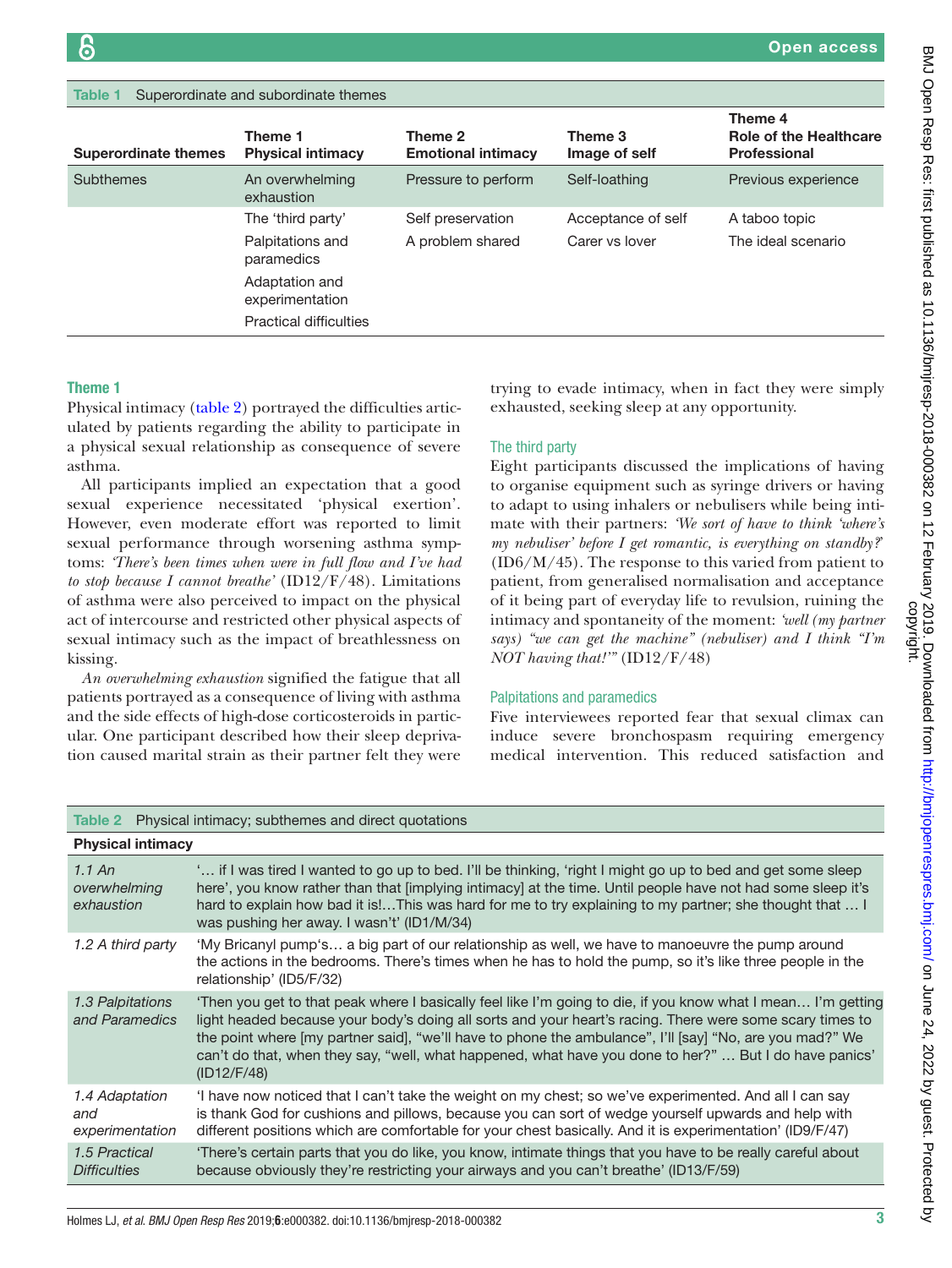<span id="page-2-0"></span>

| Superordinate and subordinate themes<br>Table 1 |                                     |                                      |                          |                                                                 |
|-------------------------------------------------|-------------------------------------|--------------------------------------|--------------------------|-----------------------------------------------------------------|
| <b>Superordinate themes</b>                     | Theme 1<br><b>Physical intimacy</b> | Theme 2<br><b>Emotional intimacy</b> | Theme 3<br>Image of self | Theme 4<br><b>Role of the Healthcare</b><br><b>Professional</b> |
| <b>Subthemes</b>                                | An overwhelming<br>exhaustion       | Pressure to perform                  | Self-loathing            | Previous experience                                             |
|                                                 | The 'third party'                   | Self preservation                    | Acceptance of self       | A taboo topic                                                   |
|                                                 | Palpitations and<br>paramedics      | A problem shared                     | Carer vs lover           | The ideal scenario                                              |
|                                                 | Adaptation and<br>experimentation   |                                      |                          |                                                                 |
|                                                 | <b>Practical difficulties</b>       |                                      |                          |                                                                 |
|                                                 |                                     |                                      |                          |                                                                 |

# Theme 1

Physical intimacy [\(table](#page-2-1) 2) portrayed the difficulties articulated by patients regarding the ability to participate in a physical sexual relationship as consequence of severe asthma.

All participants implied an expectation that a good sexual experience necessitated 'physical exertion'. However, even moderate effort was reported to limit sexual performance through worsening asthma symptoms: *'There's been times when were in full flow and I've had to stop because I cannot breathe'* (ID12/F/48). Limitations of asthma were also perceived to impact on the physical act of intercourse and restricted other physical aspects of sexual intimacy such as the impact of breathlessness on kissing.

*An overwhelming exhaustion* signified the fatigue that all patients portrayed as a consequence of living with asthma and the side effects of high-dose corticosteroids in particular. One participant described how their sleep deprivation caused marital strain as their partner felt they were trying to evade intimacy, when in fact they were simply exhausted, seeking sleep at any opportunity.

### The third party

Eight participants discussed the implications of having to organise equipment such as syringe drivers or having to adapt to using inhalers or nebulisers while being intimate with their partners: *'We sort of have to think 'where's my nebuliser' before I get romantic, is everything on standby?*' (ID6/M/45). The response to this varied from patient to patient, from generalised normalisation and acceptance of it being part of everyday life to revulsion, ruining the intimacy and spontaneity of the moment: *'well (my partner says) "we can get the machine" (nebuliser) and I think "I'm NOT having that!'"* (ID12/F/48)

#### Palpitations and paramedics

Five interviewees reported fear that sexual climax can induce severe bronchospasm requiring emergency medical intervention. This reduced satisfaction and

<span id="page-2-1"></span>

| Table 2 Physical intimacy; subthemes and direct quotations |                                                                                                                                                                                                                                                                                                                                                                                                                                                               |  |
|------------------------------------------------------------|---------------------------------------------------------------------------------------------------------------------------------------------------------------------------------------------------------------------------------------------------------------------------------------------------------------------------------------------------------------------------------------------------------------------------------------------------------------|--|
| <b>Physical intimacy</b>                                   |                                                                                                                                                                                                                                                                                                                                                                                                                                                               |  |
| $1.1$ An<br>overwhelming<br>exhaustion                     | if I was tired I wanted to go up to bed. I'll be thinking, 'right I might go up to bed and get some sleep<br>here', you know rather than that [implying intimacy] at the time. Until people have not had some sleep it's<br>hard to explain how bad it is!This was hard for me to try explaining to my partner; she thought that  I<br>was pushing her away. I wasn't' (ID1/M/34)                                                                             |  |
| 1.2 A third party                                          | 'My Bricanyl pump's a big part of our relationship as well, we have to manoeuvre the pump around<br>the actions in the bedrooms. There's times when he has to hold the pump, so it's like three people in the<br>relationship' (ID5/F/32)                                                                                                                                                                                                                     |  |
| 1.3 Palpitations<br>and Paramedics                         | 'Then you get to that peak where I basically feel like I'm going to die, if you know what I mean I'm getting<br>light headed because your body's doing all sorts and your heart's racing. There were some scary times to<br>the point where [my partner said], "we'll have to phone the ambulance", I'll [say] "No, are you mad?" We<br>can't do that, when they say, "well, what happened, what have you done to her?"  But I do have panics'<br>(ID12/F/48) |  |
| 1.4 Adaptation<br>and<br>experimentation                   | I have now noticed that I can't take the weight on my chest; so we've experimented. And all I can say<br>is thank God for cushions and pillows, because you can sort of wedge yourself upwards and help with<br>different positions which are comfortable for your chest basically. And it is experimentation' (ID9/F/47)                                                                                                                                     |  |
| 1.5 Practical<br><b>Difficulties</b>                       | There's certain parts that you do like, you know, intimate things that you have to be really careful about<br>because obviously they're restricting your airways and you can't breathe' (ID13/F/59)                                                                                                                                                                                                                                                           |  |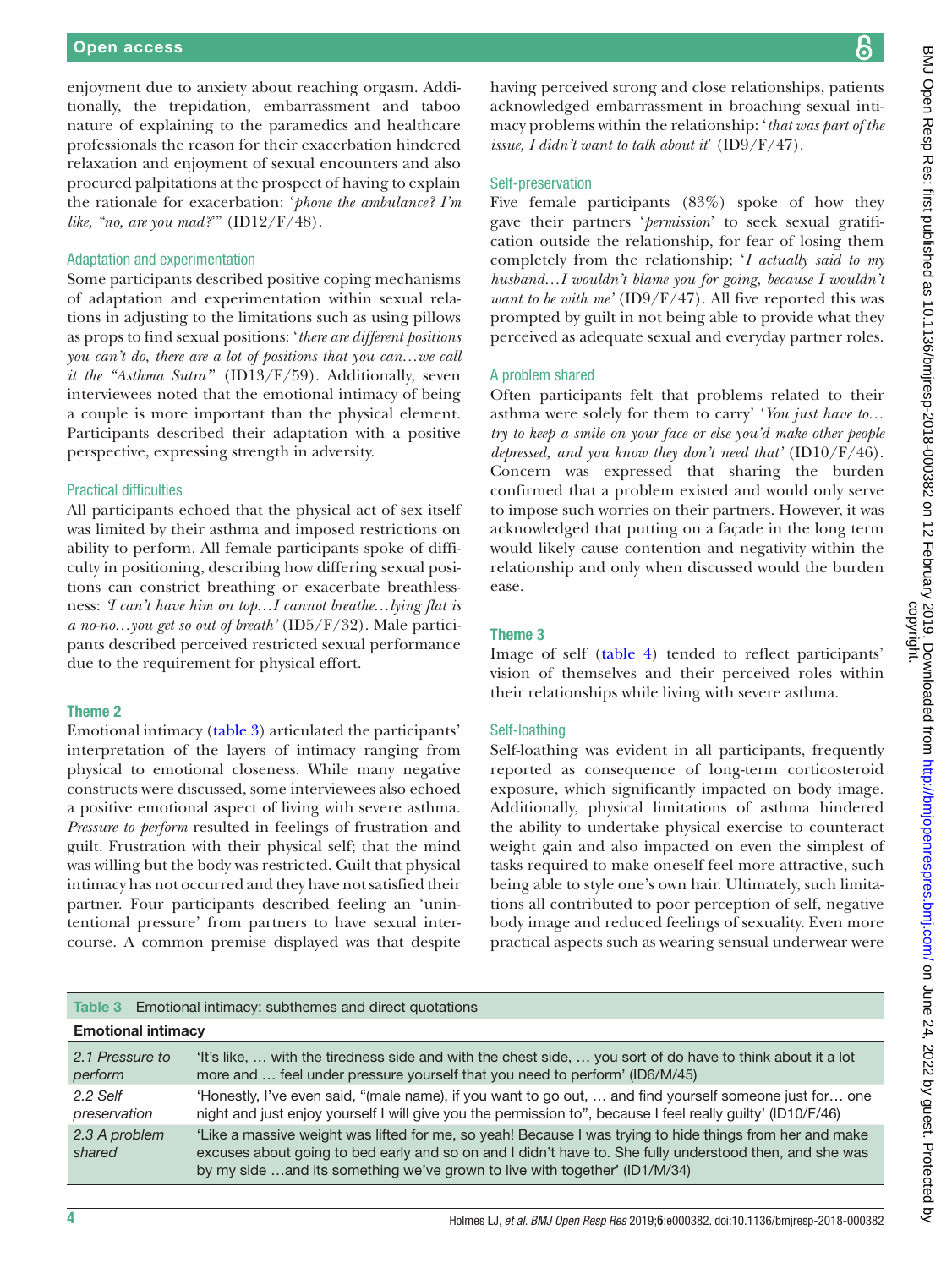enjoyment due to anxiety about reaching orgasm. Additionally, the trepidation, embarrassment and taboo nature of explaining to the paramedics and healthcare professionals the reason for their exacerbation hindered relaxation and enjoyment of sexual encounters and also procured palpitations at the prospect of having to explain the rationale for exacerbation: '*phone the ambulance? I'm like, "no, are you mad?*'" (ID12/F/48).

#### Adaptation and experimentation

Some participants described positive coping mechanisms of adaptation and experimentation within sexual relations in adjusting to the limitations such as using pillows as props to find sexual positions: '*there are different positions you can't do, there are a lot of positions that you can…we call it the "Asthma Sutra'*" (ID13/F/59). Additionally, seven interviewees noted that the emotional intimacy of being a couple is more important than the physical element. Participants described their adaptation with a positive perspective, expressing strength in adversity.

#### Practical difficulties

All participants echoed that the physical act of sex itself was limited by their asthma and imposed restrictions on ability to perform. All female participants spoke of difficulty in positioning, describing how differing sexual positions can constrict breathing or exacerbate breathlessness: *'I can't have him on top…I cannot breathe…lying flat is a no-no…you get so out of breath'* (ID5/F/32). Male participants described perceived restricted sexual performance due to the requirement for physical effort.

## Theme 2

Emotional intimacy [\(table](#page-3-0) 3) articulated the participants' interpretation of the layers of intimacy ranging from physical to emotional closeness. While many negative constructs were discussed, some interviewees also echoed a positive emotional aspect of living with severe asthma. *Pressure to perform* resulted in feelings of frustration and guilt. Frustration with their physical self; that the mind was willing but the body was restricted. Guilt that physical intimacy has not occurred and they have not satisfied their partner. Four participants described feeling an 'unintentional pressure' from partners to have sexual intercourse. A common premise displayed was that despite

# ၆

having perceived strong and close relationships, patients acknowledged embarrassment in broaching sexual intimacy problems within the relationship: '*that was part of the issue, I didn't want to talk about it*' (ID9/F/47).

## Self-preservation

Five female participants (83%) spoke of how they gave their partners '*permission*' to seek sexual gratification outside the relationship, for fear of losing them completely from the relationship; '*I actually said to my husband…I wouldn't blame you for going, because I wouldn't want to be with me'* (ID9/F/47). All five reported this was prompted by guilt in not being able to provide what they perceived as adequate sexual and everyday partner roles.

# A problem shared

Often participants felt that problems related to their asthma were solely for them to carry' '*You just have to… try to keep a smile on your face or else you'd make other people depressed, and you know they don't need that'* (ID10/F/46). Concern was expressed that sharing the burden confirmed that a problem existed and would only serve to impose such worries on their partners. However, it was acknowledged that putting on a façade in the long term would likely cause contention and negativity within the relationship and only when discussed would the burden ease.

## Theme 3

Image of self [\(table](#page-4-0) 4) tended to reflect participants' vision of themselves and their perceived roles within their relationships while living with severe asthma.

## Self-loathing

Self-loathing was evident in all participants, frequently reported as consequence of long-term corticosteroid exposure, which significantly impacted on body image. Additionally, physical limitations of asthma hindered the ability to undertake physical exercise to counteract weight gain and also impacted on even the simplest of tasks required to make oneself feel more attractive, such being able to style one's own hair. Ultimately, such limitations all contributed to poor perception of self, negative body image and reduced feelings of sexuality. Even more practical aspects such as wearing sensual underwear were

#### <span id="page-3-0"></span>Table 3 Emotional intimacy: subthemes and direct quotations

| <b>Emotional intimacy</b> |                                                                                                                                                                                                                                                                                                   |  |
|---------------------------|---------------------------------------------------------------------------------------------------------------------------------------------------------------------------------------------------------------------------------------------------------------------------------------------------|--|
| 2.1 Pressure to           | 'It's like,  with the tiredness side and with the chest side,  you sort of do have to think about it a lot                                                                                                                                                                                        |  |
| perform                   | more and  feel under pressure yourself that you need to perform' (ID6/M/45)                                                                                                                                                                                                                       |  |
| 2.2 Self                  | 'Honestly, I've even said, "(male name), if you want to go out,  and find yourself someone just for one                                                                                                                                                                                           |  |
| preservation              | night and just enjoy yourself I will give you the permission to", because I feel really guilty' (ID10/F/46)                                                                                                                                                                                       |  |
| 2.3 A problem<br>shared   | 'Like a massive weight was lifted for me, so yeah! Because I was trying to hide things from her and make<br>excuses about going to bed early and so on and I didn't have to. She fully understood then, and she was<br>by my side and its something we've grown to live with together' (ID1/M/34) |  |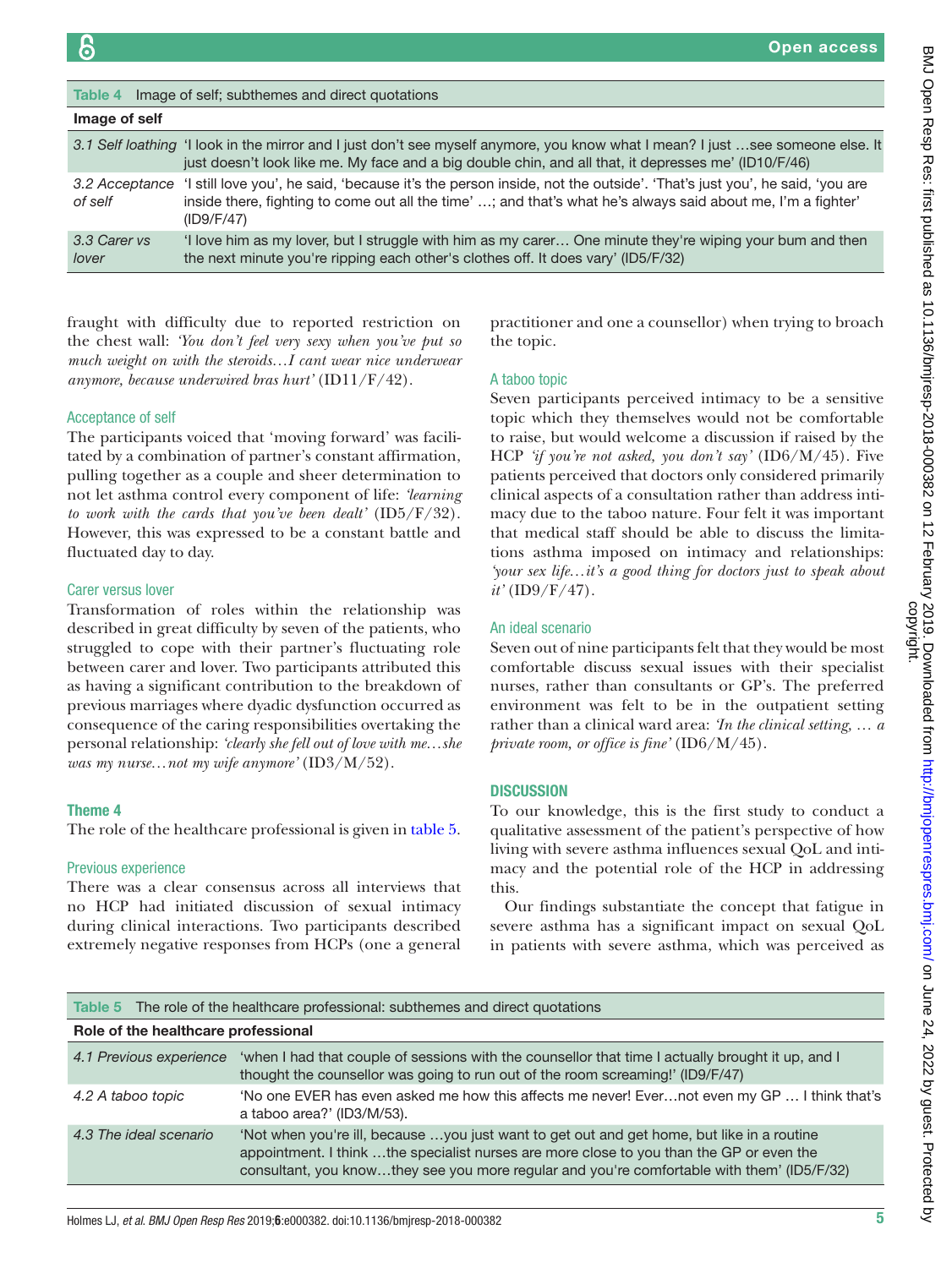<span id="page-4-0"></span>

| Image of self; subthemes and direct quotations<br>Table 4 |                                                                                                                                                                                                                                                                   |  |
|-----------------------------------------------------------|-------------------------------------------------------------------------------------------------------------------------------------------------------------------------------------------------------------------------------------------------------------------|--|
| Image of self                                             |                                                                                                                                                                                                                                                                   |  |
|                                                           | 3.1 Self loathing 'I look in the mirror and I just don't see myself anymore, you know what I mean? I just see someone else. It<br>just doesn't look like me. My face and a big double chin, and all that, it depresses me' (ID10/F/46)                            |  |
| of self                                                   | 3.2 Acceptance 'I still love you', he said, 'because it's the person inside, not the outside'. 'That's just you', he said, 'you are<br>inside there, fighting to come out all the time' ; and that's what he's always said about me, I'm a fighter'<br>(ID9/F/47) |  |
| 3.3 Carer vs<br>lover                                     | I love him as my lover, but I struggle with him as my care  One minute they're wiping your bum and then<br>the next minute you're ripping each other's clothes off. It does vary' (ID5/F/32)                                                                      |  |

fraught with difficulty due to reported restriction on the chest wall: *'You don't feel very sexy when you've put so much weight on with the steroids…I cant wear nice underwear anymore, because underwired bras hurt'* (ID11/F/42).

## Acceptance of self

The participants voiced that 'moving forward' was facilitated by a combination of partner's constant affirmation, pulling together as a couple and sheer determination to not let asthma control every component of life: *'learning to work with the cards that you've been dealt'* (ID5/F/32). However, this was expressed to be a constant battle and fluctuated day to day.

## Carer versus lover

Transformation of roles within the relationship was described in great difficulty by seven of the patients, who struggled to cope with their partner's fluctuating role between carer and lover. Two participants attributed this as having a significant contribution to the breakdown of previous marriages where dyadic dysfunction occurred as consequence of the caring responsibilities overtaking the personal relationship: *'clearly she fell out of love with me…she was my nurse…not my wife anymore'* (ID3/M/52).

## Theme 4

The role of the healthcare professional is given in [table](#page-4-1) 5.

## Previous experience

There was a clear consensus across all interviews that no HCP had initiated discussion of sexual intimacy during clinical interactions. Two participants described extremely negative responses from HCPs (one a general

practitioner and one a counsellor) when trying to broach the topic.

## A taboo topic

Seven participants perceived intimacy to be a sensitive topic which they themselves would not be comfortable to raise, but would welcome a discussion if raised by the HCP *'if you're not asked, you don't say'* (ID6/M/45). Five patients perceived that doctors only considered primarily clinical aspects of a consultation rather than address intimacy due to the taboo nature. Four felt it was important that medical staff should be able to discuss the limitations asthma imposed on intimacy and relationships: *'your sex life…it's a good thing for doctors just to speak about it'* (ID9/F/47).

#### An ideal scenario

Seven out of nine participants felt that they would be most comfortable discuss sexual issues with their specialist nurses, rather than consultants or GP's. The preferred environment was felt to be in the outpatient setting rather than a clinical ward area: *'In the clinical setting, … a private room, or office is fine'* (ID6/M/45).

# **DISCUSSION**

To our knowledge, this is the first study to conduct a qualitative assessment of the patient's perspective of how living with severe asthma influences sexual QoL and intimacy and the potential role of the HCP in addressing this.

Our findings substantiate the concept that fatigue in severe asthma has a significant impact on sexual QoL in patients with severe asthma, which was perceived as

<span id="page-4-1"></span>

|  |  | Table 5 The role of the healthcare professional: subthemes and direct quotations |  |
|--|--|----------------------------------------------------------------------------------|--|
|--|--|----------------------------------------------------------------------------------|--|

| Role of the healthcare professional |                                                                                                                                                                                                                                                                                      |  |
|-------------------------------------|--------------------------------------------------------------------------------------------------------------------------------------------------------------------------------------------------------------------------------------------------------------------------------------|--|
| 4.1 Previous experience             | 'when I had that couple of sessions with the counsellor that time I actually brought it up, and I<br>thought the counsellor was going to run out of the room screaming!' (ID9/F/47)                                                                                                  |  |
| 4.2 A taboo topic                   | 'No one EVER has even asked me how this affects me never! Evernot even my GP  I think that's<br>a taboo area?' (ID3/M/53).                                                                                                                                                           |  |
| 4.3 The ideal scenario              | 'Not when you're ill, because you just want to get out and get home, but like in a routine<br>appointment. I think the specialist nurses are more close to you than the GP or even the<br>consultant, you knowthey see you more regular and you're comfortable with them' (ID5/F/32) |  |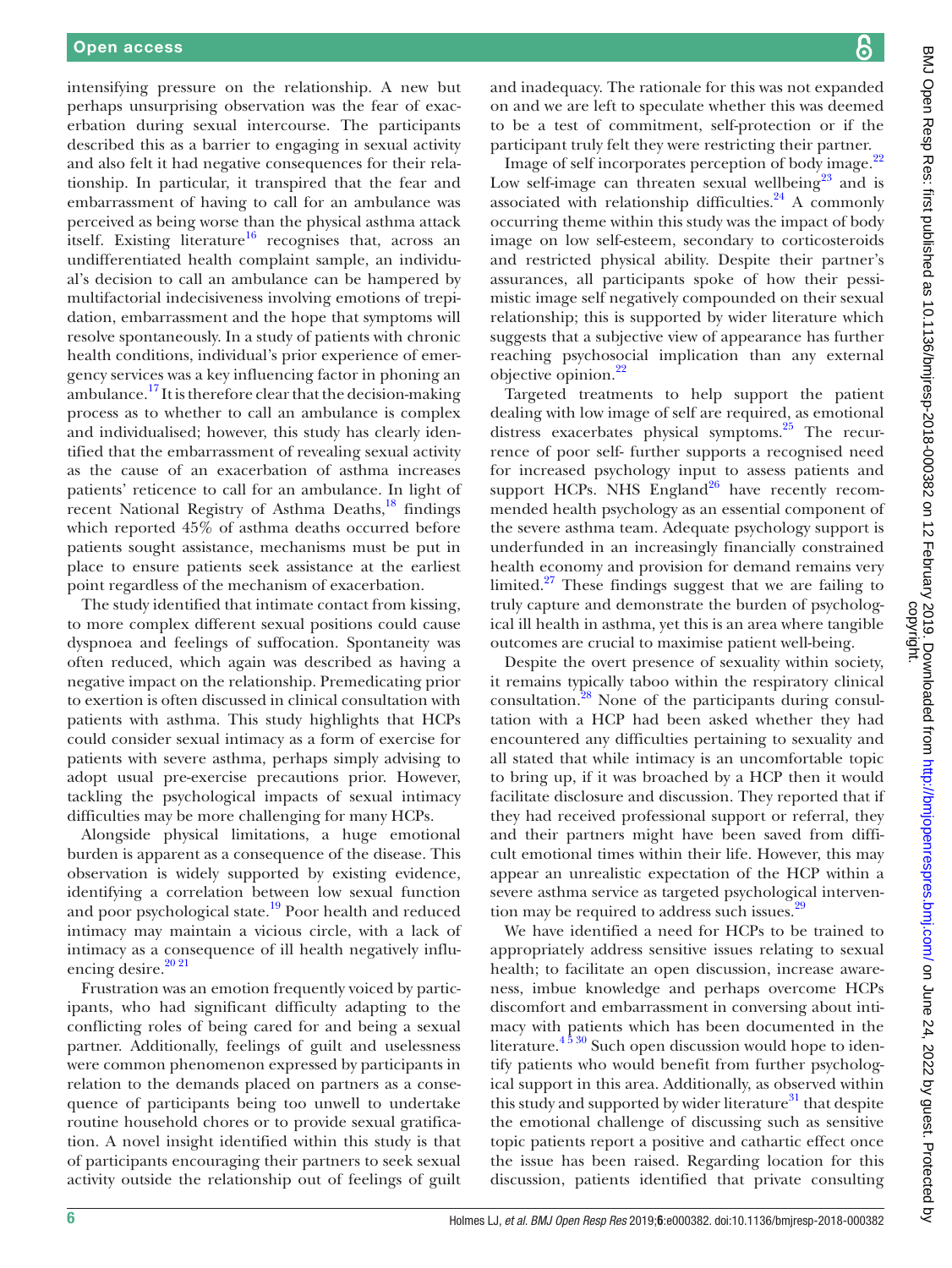intensifying pressure on the relationship. A new but perhaps unsurprising observation was the fear of exacerbation during sexual intercourse. The participants described this as a barrier to engaging in sexual activity and also felt it had negative consequences for their relationship. In particular, it transpired that the fear and embarrassment of having to call for an ambulance was perceived as being worse than the physical asthma attack itself. Existing literature<sup>16</sup> recognises that, across an undifferentiated health complaint sample, an individual's decision to call an ambulance can be hampered by multifactorial indecisiveness involving emotions of trepidation, embarrassment and the hope that symptoms will resolve spontaneously. In a study of patients with chronic health conditions, individual's prior experience of emergency services was a key influencing factor in phoning an ambulance.<sup>[17](#page-6-14)</sup> It is therefore clear that the decision-making process as to whether to call an ambulance is complex and individualised; however, this study has clearly identified that the embarrassment of revealing sexual activity as the cause of an exacerbation of asthma increases patients' reticence to call for an ambulance. In light of recent National Registry of Asthma Deaths, $^{18}$  findings which reported 45% of asthma deaths occurred before patients sought assistance, mechanisms must be put in place to ensure patients seek assistance at the earliest point regardless of the mechanism of exacerbation.

The study identified that intimate contact from kissing, to more complex different sexual positions could cause dyspnoea and feelings of suffocation. Spontaneity was often reduced, which again was described as having a negative impact on the relationship. Premedicating prior to exertion is often discussed in clinical consultation with patients with asthma. This study highlights that HCPs could consider sexual intimacy as a form of exercise for patients with severe asthma, perhaps simply advising to adopt usual pre-exercise precautions prior. However, tackling the psychological impacts of sexual intimacy difficulties may be more challenging for many HCPs.

Alongside physical limitations, a huge emotional burden is apparent as a consequence of the disease. This observation is widely supported by existing evidence, identifying a correlation between low sexual function and poor psychological state.<sup>19</sup> Poor health and reduced intimacy may maintain a vicious circle, with a lack of intimacy as a consequence of ill health negatively influencing desire.<sup>20 21</sup>

Frustration was an emotion frequently voiced by participants, who had significant difficulty adapting to the conflicting roles of being cared for and being a sexual partner. Additionally, feelings of guilt and uselessness were common phenomenon expressed by participants in relation to the demands placed on partners as a consequence of participants being too unwell to undertake routine household chores or to provide sexual gratification. A novel insight identified within this study is that of participants encouraging their partners to seek sexual activity outside the relationship out of feelings of guilt

and inadequacy. The rationale for this was not expanded on and we are left to speculate whether this was deemed to be a test of commitment, self-protection or if the participant truly felt they were restricting their partner.

Image of self incorporates perception of body image.<sup>22</sup> Low self-image can threaten sexual wellbeing<sup>23</sup> and is associated with relationship difficulties. $24$  A commonly occurring theme within this study was the impact of body image on low self-esteem, secondary to corticosteroids and restricted physical ability. Despite their partner's assurances, all participants spoke of how their pessimistic image self negatively compounded on their sexual relationship; this is supported by wider literature which suggests that a subjective view of appearance has further reaching psychosocial implication than any external objective opinion.<sup>22</sup>

Targeted treatments to help support the patient dealing with low image of self are required, as emotional distress exacerbates physical symptoms.<sup>25</sup> The recurrence of poor self- further supports a recognised need for increased psychology input to assess patients and support HCPs. NHS  $England^{26}$  $England^{26}$  $England^{26}$  have recently recommended health psychology as an essential component of the severe asthma team. Adequate psychology support is underfunded in an increasingly financially constrained health economy and provision for demand remains very limited.<sup>27</sup> These findings suggest that we are failing to truly capture and demonstrate the burden of psychological ill health in asthma, yet this is an area where tangible outcomes are crucial to maximise patient well-being.

Despite the overt presence of sexuality within society, it remains typically taboo within the respiratory clinical consultation[.28](#page-7-8) None of the participants during consultation with a HCP had been asked whether they had encountered any difficulties pertaining to sexuality and all stated that while intimacy is an uncomfortable topic to bring up, if it was broached by a HCP then it would facilitate disclosure and discussion. They reported that if they had received professional support or referral, they and their partners might have been saved from difficult emotional times within their life. However, this may appear an unrealistic expectation of the HCP within a severe asthma service as targeted psychological intervention may be required to address such issues.<sup>2</sup>

We have identified a need for HCPs to be trained to appropriately address sensitive issues relating to sexual health; to facilitate an open discussion, increase awareness, imbue knowledge and perhaps overcome HCPs discomfort and embarrassment in conversing about intimacy with patients which has been documented in the literature.<sup>4 5 30</sup> Such open discussion would hope to identify patients who would benefit from further psychological support in this area. Additionally, as observed within this study and supported by wider literature<sup>31</sup> that despite the emotional challenge of discussing such as sensitive topic patients report a positive and cathartic effect once the issue has been raised. Regarding location for this discussion, patients identified that private consulting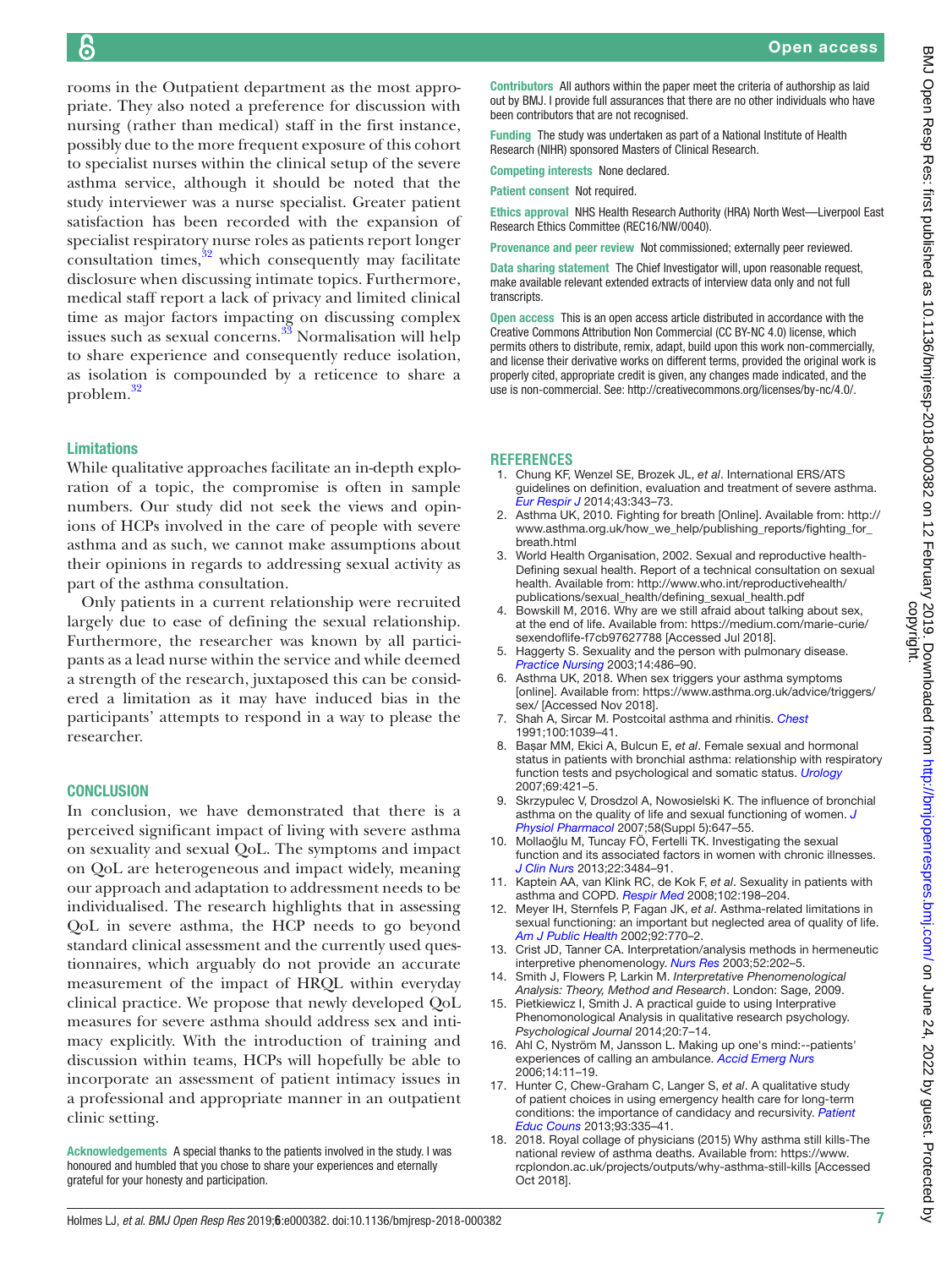rooms in the Outpatient department as the most appropriate. They also noted a preference for discussion with nursing (rather than medical) staff in the first instance, possibly due to the more frequent exposure of this cohort to specialist nurses within the clinical setup of the severe asthma service, although it should be noted that the study interviewer was a nurse specialist. Greater patient satisfaction has been recorded with the expansion of specialist respiratory nurse roles as patients report longer consultation times, $32$  which consequently may facilitate disclosure when discussing intimate topics. Furthermore, medical staff report a lack of privacy and limited clinical time as major factors impacting on discussing complex issues such as sexual concerns.<sup>33</sup> Normalisation will help to share experience and consequently reduce isolation, as isolation is compounded by a reticence to share a problem[.32](#page-7-11)

# Limitations

While qualitative approaches facilitate an in-depth exploration of a topic, the compromise is often in sample numbers. Our study did not seek the views and opinions of HCPs involved in the care of people with severe asthma and as such, we cannot make assumptions about their opinions in regards to addressing sexual activity as part of the asthma consultation.

Only patients in a current relationship were recruited largely due to ease of defining the sexual relationship. Furthermore, the researcher was known by all participants as a lead nurse within the service and while deemed a strength of the research, juxtaposed this can be considered a limitation as it may have induced bias in the participants' attempts to respond in a way to please the researcher.

## **CONCLUSION**

In conclusion, we have demonstrated that there is a perceived significant impact of living with severe asthma on sexuality and sexual QoL. The symptoms and impact on QoL are heterogeneous and impact widely, meaning our approach and adaptation to addressment needs to be individualised. The research highlights that in assessing QoL in severe asthma, the HCP needs to go beyond standard clinical assessment and the currently used questionnaires, which arguably do not provide an accurate measurement of the impact of HRQL within everyday clinical practice. We propose that newly developed QoL measures for severe asthma should address sex and intimacy explicitly. With the introduction of training and discussion within teams, HCPs will hopefully be able to incorporate an assessment of patient intimacy issues in a professional and appropriate manner in an outpatient clinic setting.

Acknowledgements A special thanks to the patients involved in the study. I was honoured and humbled that you chose to share your experiences and eternally grateful for your honesty and participation.

Contributors All authors within the paper meet the criteria of authorship as laid out by BMJ. I provide full assurances that there are no other individuals who have been contributors that are not recognised.

Funding The study was undertaken as part of a National Institute of Health Research (NIHR) sponsored Masters of Clinical Research.

Competing interests None declared.

Patient consent Not required.

Ethics approval NHS Health Research Authority (HRA) North West—Liverpool East Research Ethics Committee (REC16/NW/0040).

Provenance and peer review Not commissioned; externally peer reviewed.

Data sharing statement The Chief Investigator will, upon reasonable request, make available relevant extended extracts of interview data only and not full transcripts.

Open access This is an open access article distributed in accordance with the Creative Commons Attribution Non Commercial (CC BY-NC 4.0) license, which permits others to distribute, remix, adapt, build upon this work non-commercially, and license their derivative works on different terms, provided the original work is properly cited, appropriate credit is given, any changes made indicated, and the use is non-commercial. See: <http://creativecommons.org/licenses/by-nc/4.0/>.

#### **References**

- <span id="page-6-0"></span>1. Chung KF, Wenzel SE, Brozek JL, *et al*. International ERS/ATS guidelines on definition, evaluation and treatment of severe asthma. *[Eur Respir J](http://dx.doi.org/10.1183/09031936.00202013)* 2014;43:343–73.
- <span id="page-6-1"></span>2. Asthma UK, 2010. Fighting for breath [Online]. Available from: [http://](http://www.asthma.org.uk/how_we_help/publishing_reports/fighting_for_breath.html) [www.asthma.org.uk/how\\_we\\_help/publishing\\_reports/fighting\\_for\\_](http://www.asthma.org.uk/how_we_help/publishing_reports/fighting_for_breath.html) [breath.html](http://www.asthma.org.uk/how_we_help/publishing_reports/fighting_for_breath.html)
- <span id="page-6-2"></span>3. World Health Organisation, 2002. Sexual and reproductive health-Defining sexual health. Report of a technical consultation on sexual health. Available from: [http://www.who.int/reproductivehealth/](http://www.who.int/reproductivehealth/publications/sexual_health/defining_sexual_health.pdf) [publications/sexual\\_health/defining\\_sexual\\_health.pdf](http://www.who.int/reproductivehealth/publications/sexual_health/defining_sexual_health.pdf)
- <span id="page-6-3"></span>4. Bowskill M, 2016. Why are we still afraid about talking about sex, at the end of life. Available from: [https://medium.com/marie-curie/](https://medium.com/marie-curie/sexendoflife-f7cb97627788) [sexendoflife-f7cb97627788](https://medium.com/marie-curie/sexendoflife-f7cb97627788) [Accessed Jul 2018].
- <span id="page-6-4"></span>5. Haggerty S. Sexuality and the person with pulmonary disease. *[Practice Nursing](http://dx.doi.org/10.12968/pnur.2003.14.11.11809)* 2003;14:486–90.
- <span id="page-6-5"></span>6. Asthma UK, 2018. When sex triggers your asthma symptoms [online]. Available from: [https://www.asthma.org.uk/advice/triggers/](https://www.asthma.org.uk/advice/triggers/sex/) [sex/](https://www.asthma.org.uk/advice/triggers/sex/) [Accessed Nov 2018].
- <span id="page-6-6"></span>7. Shah A, Sircar M. Postcoital asthma and rhinitis. *[Chest](http://dx.doi.org/10.1378/chest.100.4.1039)* 1991;100:1039–41.
- <span id="page-6-7"></span>8. Başar MM, Ekici A, Bulcun E, *et al*. Female sexual and hormonal status in patients with bronchial asthma: relationship with respiratory function tests and psychological and somatic status. *[Urology](http://dx.doi.org/10.1016/j.urology.2006.12.001)* 2007;69:421–5.
- <span id="page-6-8"></span>9. Skrzypulec V, Drosdzol A, Nowosielski K. The influence of bronchial asthma on the quality of life and sexual functioning of women. *[J](http://www.ncbi.nlm.nih.gov/pubmed/18204179)  [Physiol Pharmacol](http://www.ncbi.nlm.nih.gov/pubmed/18204179)* 2007;58(Suppl 5):647–55.
- 10. Mollaoğlu M, Tuncay FÖ, Fertelli TK. Investigating the sexual function and its associated factors in women with chronic illnesses. *[J Clin Nurs](http://dx.doi.org/10.1111/jocn.12170)* 2013;22:3484–91.
- <span id="page-6-9"></span>11. Kaptein AA, van Klink RC, de Kok F, *et al*. Sexuality in patients with asthma and COPD. *[Respir Med](http://dx.doi.org/10.1016/j.rmed.2007.09.012)* 2008;102:198–204.
- 12. Meyer IH, Sternfels P, Fagan JK, *et al*. Asthma-related limitations in sexual functioning: an important but neglected area of quality of life. *[Am J Public Health](http://dx.doi.org/10.2105/AJPH.92.5.770)* 2002;92:770–2.
- <span id="page-6-10"></span>13. Crist JD, Tanner CA. Interpretation/analysis methods in hermeneutic interpretive phenomenology. *[Nurs Res](http://dx.doi.org/10.1097/00006199-200305000-00011)* 2003;52:202–5.
- <span id="page-6-12"></span>14. Smith J, Flowers P, Larkin M. *Interpretative Phenomenological Analysis: Theory, Method and Research*. London: Sage, 2009.
- <span id="page-6-11"></span>15. Pietkiewicz I, Smith J. A practical guide to using Interprative Phenomonological Analysis in qualitative research psychology. *Psychological Journal* 2014;20:7–14.
- <span id="page-6-13"></span>16. Ahl C, Nyström M, Jansson L. Making up one's mind:--patients' experiences of calling an ambulance. *[Accid Emerg Nurs](http://dx.doi.org/10.1016/j.aaen.2005.10.002)* 2006;14:11–19.
- <span id="page-6-14"></span>17. Hunter C, Chew-Graham C, Langer S, *et al*. A qualitative study of patient choices in using emergency health care for long-term conditions: the importance of candidacy and recursivity. *[Patient](http://dx.doi.org/10.1016/j.pec.2013.06.001)  [Educ Couns](http://dx.doi.org/10.1016/j.pec.2013.06.001)* 2013;93:335–41.
- <span id="page-6-15"></span>18. 2018. Royal collage of physicians (2015) Why asthma still kills-The national review of asthma deaths. Available from: [https://www.](https://www.rcplondon.ac.uk/projects/outputs/why-asthma-still-kills) [rcplondon.ac.uk/projects/outputs/why-asthma-still-kills](https://www.rcplondon.ac.uk/projects/outputs/why-asthma-still-kills) [Accessed Oct 2018].